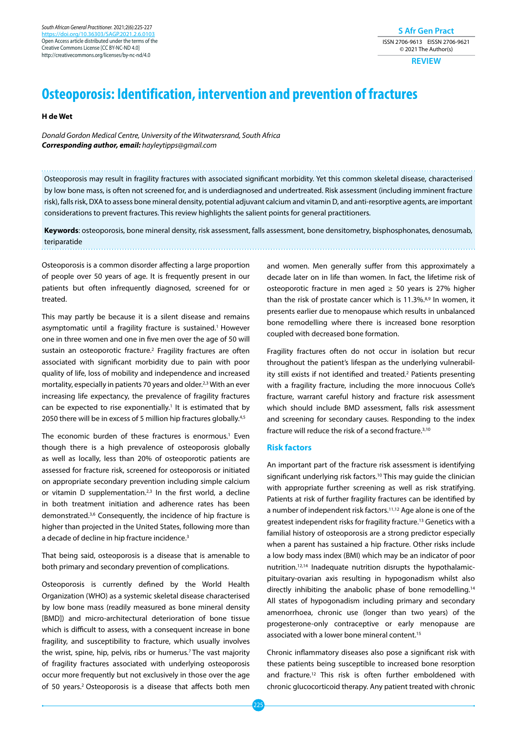*South African General Practitioner.* 2021;2(6):225-227 https://doi.org/10.36303/ Open Access article distributed under the terms of the Creative Commons License [CC BY-NC-ND 4.0] http://creativecommons.org/licenses/by-nc-nd/4.0

## **S Afr Gen Pract** ISSN 2706-9613 EISSN 2706-9621 © 2021 The Author(s)

**REVIEW**

# **Osteoporosis: Identification, intervention and prevention of fractures**

**H de Wet**

*Donald Gordon Medical Centre, University of the Witwatersrand, South Africa Corresponding author, email: hayleytipps@gmail.com*

Osteoporosis may result in fragility fractures with associated significant morbidity. Yet this common skeletal disease, characterised by low bone mass, is often not screened for, and is underdiagnosed and undertreated. Risk assessment (including imminent fracture risk), falls risk, DXA to assess bone mineral density, potential adjuvant calcium and vitamin D, and anti-resorptive agents, are important considerations to prevent fractures. This review highlights the salient points for general practitioners.

**Keywords**: osteoporosis, bone mineral density, risk assessment, falls assessment, bone densitometry, bisphosphonates, denosumab, teriparatide

Osteoporosis is a common disorder affecting a large proportion of people over 50 years of age. It is frequently present in our patients but often infrequently diagnosed, screened for or treated.

This may partly be because it is a silent disease and remains asymptomatic until a fragility fracture is sustained.<sup>1</sup> However one in three women and one in five men over the age of 50 will sustain an osteoporotic fracture.<sup>2</sup> Fragility fractures are often associated with significant morbidity due to pain with poor quality of life, loss of mobility and independence and increased mortality, especially in patients 70 years and older.<sup>2,3</sup> With an ever increasing life expectancy, the prevalence of fragility fractures can be expected to rise exponentially.<sup>1</sup> It is estimated that by 2050 there will be in excess of 5 million hip fractures globally.<sup>4,5</sup>

The economic burden of these fractures is enormous.<sup>1</sup> Even though there is a high prevalence of osteoporosis globally as well as locally, less than 20% of osteoporotic patients are assessed for fracture risk, screened for osteoporosis or initiated on appropriate secondary prevention including simple calcium or vitamin  $D$  supplementation.<sup>2,3</sup> In the first world, a decline in both treatment initiation and adherence rates has been demonstrated.3,6 Consequently, the incidence of hip fracture is higher than projected in the United States, following more than a decade of decline in hip fracture incidence.<sup>3</sup>

That being said, osteoporosis is a disease that is amenable to both primary and secondary prevention of complications.

Osteoporosis is currently defined by the World Health Organization (WHO) as a systemic skeletal disease characterised by low bone mass (readily measured as bone mineral density [BMD]) and micro-architectural deterioration of bone tissue which is difficult to assess, with a consequent increase in bone fragility, and susceptibility to fracture, which usually involves the wrist, spine, hip, pelvis, ribs or humerus.<sup>7</sup> The vast majority of fragility fractures associated with underlying osteoporosis occur more frequently but not exclusively in those over the age of 50 years.<sup>2</sup> Osteoporosis is a disease that affects both men

and women. Men generally suffer from this approximately a decade later on in life than women. In fact, the lifetime risk of osteoporotic fracture in men aged  $\geq$  50 years is 27% higher than the risk of prostate cancer which is 11.3%.<sup>8,9</sup> In women, it presents earlier due to menopause which results in unbalanced bone remodelling where there is increased bone resorption coupled with decreased bone formation.

Fragility fractures often do not occur in isolation but recur throughout the patient's lifespan as the underlying vulnerability still exists if not identified and treated.2 Patients presenting with a fragility fracture, including the more innocuous Colle's fracture, warrant careful history and fracture risk assessment which should include BMD assessment, falls risk assessment and screening for secondary causes. Responding to the index fracture will reduce the risk of a second fracture.3,10

## **Risk factors**

An important part of the fracture risk assessment is identifying significant underlying risk factors.<sup>10</sup> This may guide the clinician with appropriate further screening as well as risk stratifying. Patients at risk of further fragility fractures can be identified by a number of independent risk factors.<sup>11,12</sup> Age alone is one of the greatest independent risks for fragility fracture.<sup>13</sup> Genetics with a familial history of osteoporosis are a strong predictor especially when a parent has sustained a hip fracture. Other risks include a low body mass index (BMI) which may be an indicator of poor nutrition.12,14 Inadequate nutrition disrupts the hypothalamicpituitary-ovarian axis resulting in hypogonadism whilst also directly inhibiting the anabolic phase of bone remodelling.14 All states of hypogonadism including primary and secondary amenorrhoea, chronic use (longer than two years) of the progesterone-only contraceptive or early menopause are associated with a lower bone mineral content.<sup>15</sup>

Chronic inflammatory diseases also pose a significant risk with these patients being susceptible to increased bone resorption and fracture.<sup>12</sup> This risk is often further emboldened with chronic glucocorticoid therapy. Any patient treated with chronic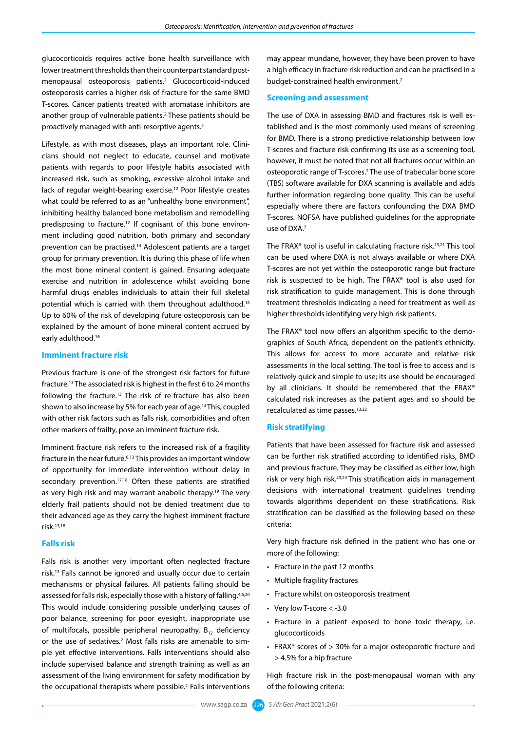glucocorticoids requires active bone health surveillance with lower treatment thresholds than their counterpart standard postmenopausal osteoporosis patients.2 Glucocorticoid-induced osteoporosis carries a higher risk of fracture for the same BMD T-scores. Cancer patients treated with aromatase inhibitors are another group of vulnerable patients.<sup>2</sup> These patients should be proactively managed with anti-resorptive agents.2

Lifestyle, as with most diseases, plays an important role. Clinicians should not neglect to educate, counsel and motivate patients with regards to poor lifestyle habits associated with increased risk, such as smoking, excessive alcohol intake and lack of regular weight-bearing exercise.<sup>12</sup> Poor lifestyle creates what could be referred to as an "unhealthy bone environment", inhibiting healthy balanced bone metabolism and remodelling predisposing to fracture.12 If cognisant of this bone environment including good nutrition, both primary and secondary prevention can be practised.<sup>14</sup> Adolescent patients are a target group for primary prevention. It is during this phase of life when the most bone mineral content is gained. Ensuring adequate exercise and nutrition in adolescence whilst avoiding bone harmful drugs enables individuals to attain their full skeletal potential which is carried with them throughout adulthood.14 Up to 60% of the risk of developing future osteoporosis can be explained by the amount of bone mineral content accrued by early adulthood.<sup>16</sup>

## **Imminent fracture risk**

Previous fracture is one of the strongest risk factors for future fracture.13 The associated risk is highest in the first 6 to 24 months following the fracture.13 The risk of re-fracture has also been shown to also increase by 5% for each year of age.13 This, coupled with other risk factors such as falls risk, comorbidities and often other markers of frailty, pose an imminent fracture risk.

Imminent fracture risk refers to the increased risk of a fragility fracture in the near future.6,13 This provides an important window of opportunity for immediate intervention without delay in secondary prevention.<sup>17,18</sup> Often these patients are stratified as very high risk and may warrant anabolic therapy.19 The very elderly frail patients should not be denied treatment due to their advanced age as they carry the highest imminent fracture risk.13,18

#### **Falls risk**

Falls risk is another very important often neglected fracture risk.13 Falls cannot be ignored and usually occur due to certain mechanisms or physical failures. All patients falling should be assessed for falls risk, especially those with a history of falling.<sup>4,6,20</sup> This would include considering possible underlying causes of poor balance, screening for poor eyesight, inappropriate use of multifocals, possible peripheral neuropathy,  $B_{12}$  deficiency or the use of sedatives.<sup>2</sup> Most falls risks are amenable to simple yet effective interventions. Falls interventions should also include supervised balance and strength training as well as an assessment of the living environment for safety modification by the occupational therapists where possible.<sup>2</sup> Falls interventions may appear mundane, however, they have been proven to have a high efficacy in fracture risk reduction and can be practised in a budget-constrained health environment.<sup>2</sup>

#### **Screening and assessment**

The use of DXA in assessing BMD and fractures risk is well established and is the most commonly used means of screening for BMD. There is a strong predictive relationship between low T-scores and fracture risk confirming its use as a screening tool, however, it must be noted that not all fractures occur within an osteoporotic range of T-scores.7 The use of trabecular bone score (TBS) software available for DXA scanning is available and adds further information regarding bone quality. This can be useful especially where there are factors confounding the DXA BMD T-scores. NOFSA have published guidelines for the appropriate use of DXA.7

The FRAX® tool is useful in calculating fracture risk.13,21 This tool can be used where DXA is not always available or where DXA T-scores are not yet within the osteoporotic range but fracture risk is suspected to be high. The FRAX® tool is also used for risk stratification to guide management. This is done through treatment thresholds indicating a need for treatment as well as higher thresholds identifying very high risk patients.

The FRAX<sup>®</sup> tool now offers an algorithm specific to the demographics of South Africa, dependent on the patient's ethnicity. This allows for access to more accurate and relative risk assessments in the local setting. The tool is free to access and is relatively quick and simple to use; its use should be encouraged by all clinicians. It should be remembered that the FRAX® calculated risk increases as the patient ages and so should be recalculated as time passes.13,22

## **Risk stratifying**

Patients that have been assessed for fracture risk and assessed can be further risk stratified according to identified risks, BMD and previous fracture. They may be classified as either low, high risk or very high risk.<sup>23,24</sup> This stratification aids in management decisions with international treatment guidelines trending towards algorithms dependent on these stratifications. Risk stratification can be classified as the following based on these criteria:

Very high fracture risk defined in the patient who has one or more of the following:

- Fracture in the past 12 months
- Multiple fragility fractures
- Fracture whilst on osteoporosis treatment
- Very low T-score < -3.0
- Fracture in a patient exposed to bone toxic therapy, i.e. glucocorticoids
- FRAX® scores of > 30% for a major osteoporotic fracture and > 4.5% for a hip fracture

High fracture risk in the post-menopausal woman with any of the following criteria: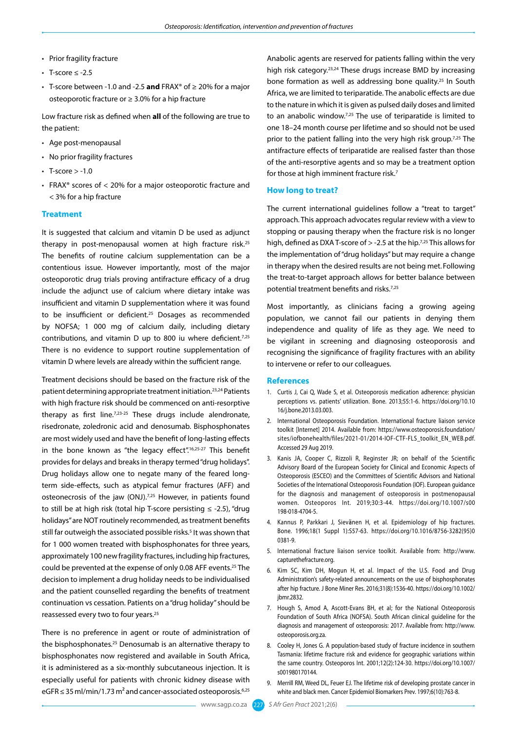- Prior fragility fracture
- T-score  $\leq$  -2.5
- T-score between -1.0 and -2.5 **and** FRAX® of ≥ 20% for a major osteoporotic fracture or ≥ 3.0% for a hip fracture

Low fracture risk as defined when **all** of the following are true to the patient:

- Age post-menopausal
- No prior fragility fractures
- $\cdot$  T-score  $>$  -1.0
- FRAX® scores of < 20% for a major osteoporotic fracture and < 3% for a hip fracture

### **Treatment**

It is suggested that calcium and vitamin D be used as adjunct therapy in post-menopausal women at high fracture risk.25 The benefits of routine calcium supplementation can be a contentious issue. However importantly, most of the major osteoporotic drug trials proving antifracture efficacy of a drug include the adjunct use of calcium where dietary intake was insufficient and vitamin D supplementation where it was found to be insufficient or deficient.25 Dosages as recommended by NOFSA; 1 000 mg of calcium daily, including dietary contributions, and vitamin D up to 800 iu where deficient.7,25 There is no evidence to support routine supplementation of vitamin D where levels are already within the sufficient range.

Treatment decisions should be based on the fracture risk of the patient determining appropriate treatment initiation.23,24 Patients with high fracture risk should be commenced on anti-resorptive therapy as first line.7,23-25 These drugs include alendronate, risedronate, zoledronic acid and denosumab. Bisphosphonates are most widely used and have the benefit of long-lasting effects in the bone known as "the legacy effect".<sup>16,25-27</sup> This benefit provides for delays and breaks in therapy termed "drug holidays". Drug holidays allow one to negate many of the feared longterm side-effects, such as atypical femur fractures (AFF) and osteonecrosis of the jaw (ONJ).<sup>7,25</sup> However, in patients found to still be at high risk (total hip T-score persisting ≤ -2.5), "drug holidays" are NOT routinely recommended, as treatment benefits still far outweigh the associated possible risks.<sup>5</sup> It was shown that for 1 000 women treated with bisphosphonates for three years, approximately 100 new fragility fractures, including hip fractures, could be prevented at the expense of only 0.08 AFF events.25 The decision to implement a drug holiday needs to be individualised and the patient counselled regarding the benefits of treatment continuation vs cessation. Patients on a "drug holiday" should be reassessed every two to four years.25

There is no preference in agent or route of administration of the bisphosphonates.25 Denosumab is an alternative therapy to bisphosphonates now registered and available in South Africa, it is administered as a six-monthly subcutaneous injection. It is especially useful for patients with chronic kidney disease with  $eGFR \leq 35$  ml/min/1.73 m<sup>2</sup> and cancer-associated osteoporosis.<sup>6,25</sup>

Anabolic agents are reserved for patients falling within the very high risk category.<sup>23,24</sup> These drugs increase BMD by increasing bone formation as well as addressing bone quality.<sup>25</sup> In South Africa, we are limited to teriparatide. The anabolic effects are due to the nature in which it is given as pulsed daily doses and limited to an anabolic window.7,25 The use of teriparatide is limited to one 18–24 month course per lifetime and so should not be used prior to the patient falling into the very high risk group. $7,25$  The antifracture effects of teriparatide are realised faster than those of the anti-resorptive agents and so may be a treatment option for those at high imminent fracture risk.<sup>7</sup>

#### **How long to treat?**

The current international guidelines follow a "treat to target" approach. This approach advocates regular review with a view to stopping or pausing therapy when the fracture risk is no longer high, defined as DXA T-score of  $>$  -2.5 at the hip.<sup>7,25</sup> This allows for the implementation of "drug holidays" but may require a change in therapy when the desired results are not being met.Following the treat-to-target approach allows for better balance between potential treatment benefits and risks.7,25

Most importantly, as clinicians facing a growing ageing population, we cannot fail our patients in denying them independence and quality of life as they age. We need to be vigilant in screening and diagnosing osteoporosis and recognising the significance of fragility fractures with an ability to intervene or refer to our colleagues.

#### **References**

- 1. Curtis J, Cai Q, Wade S, et al. Osteoporosis medication adherence: physician perceptions vs. patients' utilization. Bone. 2013;55:1-6. [https://doi.org/10.10](https://doi.org/10.1016/j.bone.2013.03.003) [16/j.bone.2013.03.003](https://doi.org/10.1016/j.bone.2013.03.003).
- 2. International Osteoporosis Foundation. International fracture liaison service toolkit [Internet] 2014. Available from: [https://www.osteoporosis.foundation/](https://www.osteoporosis.foundation/sites/iofbonehealth/files/2021-01/2014-IOF-CTF-FLS_toolkit_EN_WEB.pdf. ) [sites/iofbonehealth/files/2021-01/2014-IOF-CTF-FLS\\_toolkit\\_EN\\_WEB.pdf.](https://www.osteoporosis.foundation/sites/iofbonehealth/files/2021-01/2014-IOF-CTF-FLS_toolkit_EN_WEB.pdf. ) Accessed 29 Aug 2019.
- 3. Kanis JA, Cooper C, Rizzoli R, Reginster JR; on behalf of the Scientific Advisory Board of the European Society for Clinical and Economic Aspects of Osteoporosis (ESCEO) and the Committees of Scientific Advisors and National Societies of the International Osteoporosis Foundation (IOF). European guidance for the diagnosis and management of osteoporosis in postmenopausal women. Osteoporos Int. 2019;30:3-44. [https://doi.org/10.1007/s00](https://doi.org/10.1007/s00198-018-4704-5) [198-018-4704-5](https://doi.org/10.1007/s00198-018-4704-5).
- 4. Kannus P, Parkkari J, Sievӓnen H, et al. Epidemiology of hip fractures. Bone. 1996;18(1 Suppl 1):S57-63. [https://doi.org/10.1016/8756-3282\(95\)0](https://doi.org/10.1016/8756-3282(95)00381-9) [0381-9](https://doi.org/10.1016/8756-3282(95)00381-9).
- 5. International fracture liaison service toolkit. Available from: [http://www.](http://www.capturethefracture.org) [capturethefracture.org.](http://www.capturethefracture.org)
- 6. Kim SC, Kim DH, Mogun H, et al. Impact of the U.S. Food and Drug Administration's safety-related announcements on the use of bisphosphonates after hip fracture. J Bone Miner Res. 2016;31(8):1536-40. [https://doi.org/10.1002/](https://doi.org/10.1002/jbmr.2832) ihmr.2832
- 7. Hough S, Amod A, Ascott-Evans BH, et al; for the National Osteoporosis Foundation of South Africa (NOFSA). South African clinical guideline for the diagnosis and management of osteoporosis: 2017. Available from: [http://www.](http://www.osteoporosis.org.za) [osteoporosis.org.za](http://www.osteoporosis.org.za).
- 8. Cooley H, Jones G. A population-based study of fracture incidence in southern Tasmania: lifetime fracture risk and evidence for geographic variations within the same country. Osteoporos Int. 2001;12(2):124-30. [https://doi.org/10.1007/](https://doi.org/10.1007/s001980170144) [s001980170144](https://doi.org/10.1007/s001980170144).
- 9. Merrill RM, Weed DL, Feuer EJ. The lifetime risk of developing prostate cancer in white and black men. Cancer Epidemiol Biomarkers Prev. 1997;6(10):763-8.